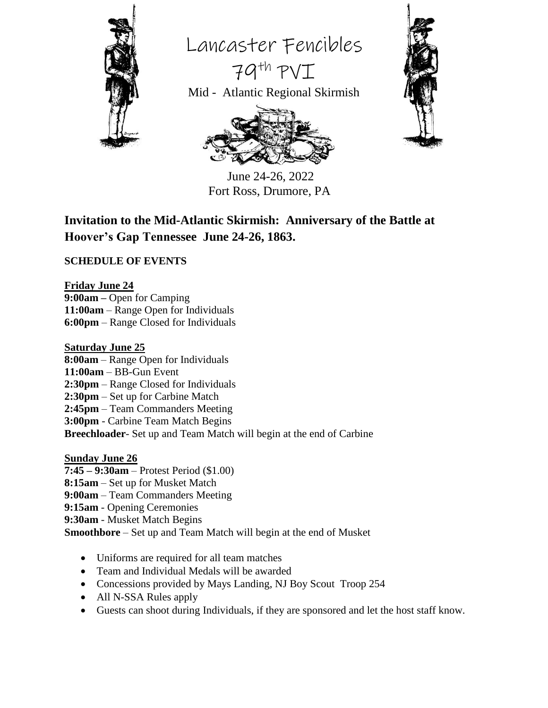

Lancaster Fencibles

Mid - Atlantic Regional Skirmish

79th PVI



 June 24-26, 2022 Fort Ross, Drumore, PA

## **Invitation to the Mid-Atlantic Skirmish: Anniversary of the Battle at Hoover's Gap Tennessee June 24-26, 1863.**

#### **SCHEDULE OF EVENTS**

**Friday June 24 9:00am –** Open for Camping **11:00am** – Range Open for Individuals **6:00pm** – Range Closed for Individuals

#### **Saturday June 25**

- **8:00am** Range Open for Individuals
- **11:00am** BB-Gun Event
- **2:30pm** Range Closed for Individuals
- **2:30pm** Set up for Carbine Match
- **2:45pm** Team Commanders Meeting
- **3:00pm** Carbine Team Match Begins

**Breechloader**- Set up and Team Match will begin at the end of Carbine

#### **Sunday June 26**

- **7:45 – 9:30am** Protest Period (\$1.00)
- **8:15am** Set up for Musket Match
- **9:00am** Team Commanders Meeting
- **9:15am** Opening Ceremonies
- **9:30am** Musket Match Begins

**Smoothbore** – Set up and Team Match will begin at the end of Musket

- Uniforms are required for all team matches
- Team and Individual Medals will be awarded
- Concessions provided by Mays Landing, NJ Boy Scout Troop 254
- All N-SSA Rules apply
- Guests can shoot during Individuals, if they are sponsored and let the host staff know.

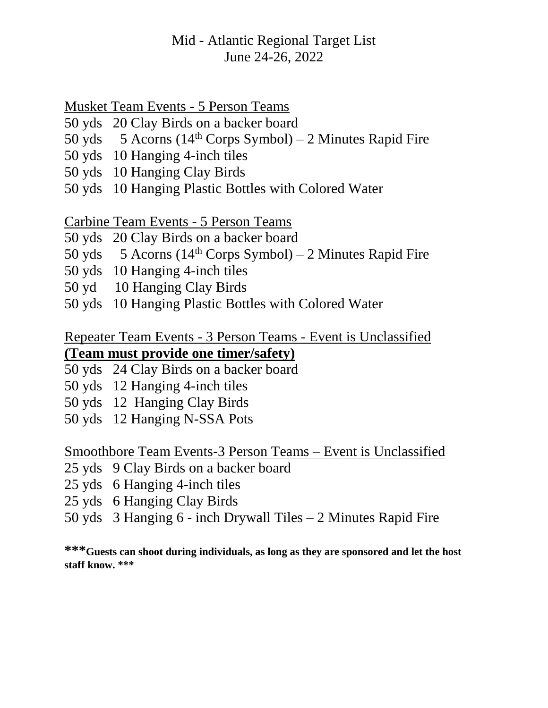# Mid - Atlantic Regional Target List June 24-26, 2022

### Musket Team Events - 5 Person Teams

- 50 yds 20 Clay Birds on a backer board
- 50 yds 5 Acorns ( $14<sup>th</sup>$  Corps Symbol) 2 Minutes Rapid Fire
- 50 yds 10 Hanging 4-inch tiles
- 50 yds 10 Hanging Clay Birds
- 50 yds 10 Hanging Plastic Bottles with Colored Water

# Carbine Team Events - 5 Person Teams

- 50 yds 20 Clay Birds on a backer board
- 50 yds 5 Acorns ( $14<sup>th</sup>$  Corps Symbol) 2 Minutes Rapid Fire
- 50 yds 10 Hanging 4-inch tiles
- 50 yd 10 Hanging Clay Birds
- 50 yds 10 Hanging Plastic Bottles with Colored Water

### Repeater Team Events - 3 Person Teams - Event is Unclassified **(Team must provide one timer/safety)**

- 50 yds 24 Clay Birds on a backer board
- 50 yds 12 Hanging 4-inch tiles
- 50 yds 12 Hanging Clay Birds
- 50 yds 12 Hanging N-SSA Pots

### Smoothbore Team Events-3 Person Teams – Event is Unclassified

- 25 yds 9 Clay Birds on a backer board
- 25 yds 6 Hanging 4-inch tiles
- 25 yds 6 Hanging Clay Birds
- 50 yds 3 Hanging 6 inch Drywall Tiles 2 Minutes Rapid Fire

**\*\*\*Guests can shoot during individuals, as long as they are sponsored and let the host staff know. \*\*\***